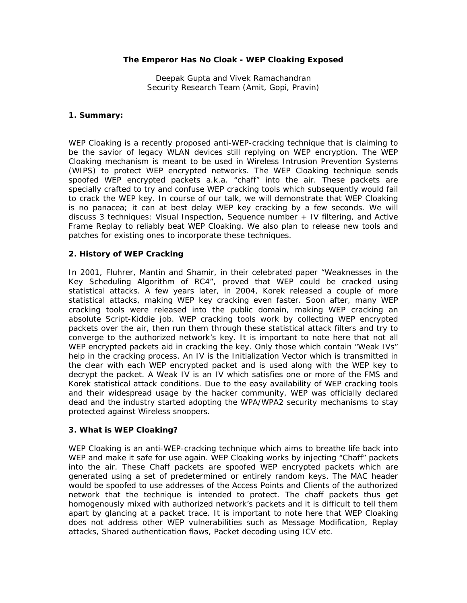### **The Emperor Has No Cloak - WEP Cloaking Exposed**

Deepak Gupta and Vivek Ramachandran Security Research Team (Amit, Gopi, Pravin)

#### **1. Summary:**

WEP Cloaking is a recently proposed anti-WEP-cracking technique that is claiming to be the savior of legacy WLAN devices still replying on WEP encryption. The WEP Cloaking mechanism is meant to be used in Wireless Intrusion Prevention Systems (WIPS) to protect WEP encrypted networks. The WEP Cloaking technique sends spoofed WEP encrypted packets a.k.a. "chaff" into the air. These packets are specially crafted to try and confuse WEP cracking tools which subsequently would fail to crack the WEP key. In course of our talk, we will demonstrate that WEP Cloaking is no panacea; it can at best delay WEP key cracking by a few seconds. We will discuss 3 techniques: Visual Inspection, Sequence number + IV filtering, and Active Frame Replay to reliably beat WEP Cloaking. We also plan to release new tools and patches for existing ones to incorporate these techniques.

## **2. History of WEP Cracking**

In 2001, Fluhrer, Mantin and Shamir, in their celebrated paper "Weaknesses in the Key Scheduling Algorithm of RC4", proved that WEP could be cracked using statistical attacks. A few years later, in 2004, Korek released a couple of more statistical attacks, making WEP key cracking even faster. Soon after, many WEP cracking tools were released into the public domain, making WEP cracking an absolute Script-Kiddie job. WEP cracking tools work by collecting WEP encrypted packets over the air, then run them through these statistical attack filters and try to converge to the authorized network's key. It is important to note here that not all WEP encrypted packets aid in cracking the key. Only those which contain "Weak IVs" help in the cracking process. An IV is the Initialization Vector which is transmitted in the clear with each WEP encrypted packet and is used along with the WEP key to decrypt the packet. A Weak IV is an IV which satisfies one or more of the FMS and Korek statistical attack conditions. Due to the easy availability of WEP cracking tools and their widespread usage by the hacker community, WEP was officially declared dead and the industry started adopting the WPA/WPA2 security mechanisms to stay protected against Wireless snoopers.

## **3. What is WEP Cloaking?**

WEP Cloaking is an anti-WEP-cracking technique which aims to breathe life back into WEP and make it safe for use again. WEP Cloaking works by injecting "Chaff" packets into the air. These Chaff packets are spoofed WEP encrypted packets which are generated using a set of predetermined or entirely random keys. The MAC header would be spoofed to use addresses of the Access Points and Clients of the authorized network that the technique is intended to protect. The chaff packets thus get homogenously mixed with authorized network's packets and it is difficult to tell them apart by glancing at a packet trace. It is important to note here that WEP Cloaking does not address other WEP vulnerabilities such as Message Modification, Replay attacks, Shared authentication flaws, Packet decoding using ICV etc.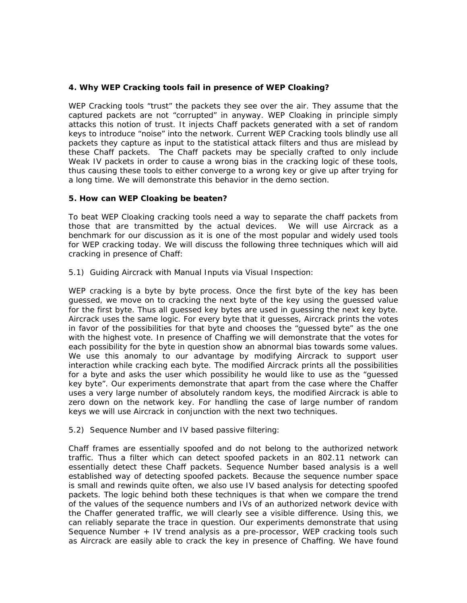### **4. Why WEP Cracking tools fail in presence of WEP Cloaking?**

WEP Cracking tools "trust" the packets they see over the air. They assume that the captured packets are not "corrupted" in anyway. WEP Cloaking in principle simply attacks this notion of trust. It injects Chaff packets generated with a set of random keys to introduce "noise" into the network. Current WEP Cracking tools blindly use all packets they capture as input to the statistical attack filters and thus are mislead by these Chaff packets. The Chaff packets may be specially crafted to only include Weak IV packets in order to cause a wrong bias in the cracking logic of these tools, thus causing these tools to either converge to a wrong key or give up after trying for a long time. We will demonstrate this behavior in the demo section.

#### **5. How can WEP Cloaking be beaten?**

To beat WEP Cloaking cracking tools need a way to separate the chaff packets from those that are transmitted by the actual devices. We will use Aircrack as a benchmark for our discussion as it is one of the most popular and widely used tools for WEP cracking today. We will discuss the following three techniques which will aid cracking in presence of Chaff:

#### *5.1) Guiding Aircrack with Manual Inputs via Visual Inspection:*

WEP cracking is a byte by byte process. Once the first byte of the key has been guessed, we move on to cracking the next byte of the key using the guessed value for the first byte. Thus all guessed key bytes are used in guessing the next key byte. Aircrack uses the same logic. For every byte that it guesses, Aircrack prints the votes in favor of the possibilities for that byte and chooses the "guessed byte" as the one with the highest vote. In presence of Chaffing we will demonstrate that the votes for each possibility for the byte in question show an abnormal bias towards some values. We use this anomaly to our advantage by modifying Aircrack to support user interaction while cracking each byte. The modified Aircrack prints all the possibilities for a byte and asks the user which possibility he would like to use as the "guessed key byte". Our experiments demonstrate that apart from the case where the Chaffer uses a very large number of absolutely random keys, the modified Aircrack is able to zero down on the network key. For handling the case of large number of random keys we will use Aircrack in conjunction with the next two techniques.

#### *5.2) Sequence Number and IV based passive filtering:*

Chaff frames are essentially spoofed and do not belong to the authorized network traffic. Thus a filter which can detect spoofed packets in an 802.11 network can essentially detect these Chaff packets. Sequence Number based analysis is a well established way of detecting spoofed packets. Because the sequence number space is small and rewinds quite often, we also use IV based analysis for detecting spoofed packets. The logic behind both these techniques is that when we compare the trend of the values of the sequence numbers and IVs of an authorized network device with the Chaffer generated traffic, we will clearly see a visible difference. Using this, we can reliably separate the trace in question. Our experiments demonstrate that using Sequence Number + IV trend analysis as a pre-processor, WEP cracking tools such as Aircrack are easily able to crack the key in presence of Chaffing. We have found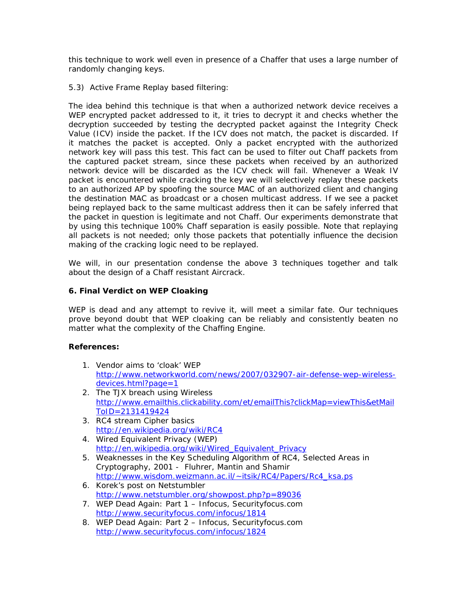this technique to work well even in presence of a Chaffer that uses a large number of randomly changing keys.

# *5.3) Active Frame Replay based filtering:*

The idea behind this technique is that when a authorized network device receives a WEP encrypted packet addressed to it, it tries to decrypt it and checks whether the decryption succeeded by testing the decrypted packet against the Integrity Check Value (ICV) inside the packet. If the ICV does not match, the packet is discarded. If it matches the packet is accepted. Only a packet encrypted with the authorized network key will pass this test. This fact can be used to filter out Chaff packets from the captured packet stream, since these packets when received by an authorized network device will be discarded as the ICV check will fail. Whenever a Weak IV packet is encountered while cracking the key we will selectively replay these packets to an authorized AP by spoofing the source MAC of an authorized client and changing the destination MAC as broadcast or a chosen multicast address. If we see a packet being replayed back to the same multicast address then it can be safely inferred that the packet in question is legitimate and not Chaff. Our experiments demonstrate that by using this technique 100% Chaff separation is easily possible. Note that replaying all packets is not needed; only those packets that potentially influence the decision making of the cracking logic need to be replayed.

We will, in our presentation condense the above 3 techniques together and talk about the design of a Chaff resistant Aircrack.

## **6. Final Verdict on WEP Cloaking**

WEP is dead and any attempt to revive it, will meet a similar fate. Our techniques prove beyond doubt that WEP cloaking can be reliably and consistently beaten no matter what the complexity of the Chaffing Engine.

## **References:**

- 1. Vendor aims to 'cloak' WEP [http://www.networkworld.com/news/2007/032907-air-defense-wep-wireless](http://www.networkworld.com/news/2007/032907-air-defense-wep-wireless-devices.html?page=1)[devices.html?page=1](http://www.networkworld.com/news/2007/032907-air-defense-wep-wireless-devices.html?page=1)
- 2. The TJX breach using Wireless [http://www.emailthis.clickability.com/et/emailThis?clickMap=viewThis&etMail](http://www.emailthis.clickability.com/et/emailThis?clickMap=viewThis&etMailToID=2131419424) [ToID=2131419424](http://www.emailthis.clickability.com/et/emailThis?clickMap=viewThis&etMailToID=2131419424)
- 3. RC4 stream Cipher basics <http://en.wikipedia.org/wiki/RC4>
- 4. Wired Equivalent Privacy (WEP) [http://en.wikipedia.org/wiki/Wired\\_Equivalent\\_Privacy](http://en.wikipedia.org/wiki/Wired_Equivalent_Privacy)
- 5. Weaknesses in the Key Scheduling Algorithm of RC4, Selected Areas in Cryptography, 2001 - Fluhrer, Mantin and Shamir [http://www.wisdom.weizmann.ac.il/~itsik/RC4/Papers/Rc4\\_ksa.ps](http://www.wisdom.weizmann.ac.il/%7Eitsik/RC4/Papers/Rc4_ksa.ps)
- 6. Korek's post on Netstumbler <http://www.netstumbler.org/showpost.php?p=89036>
- 7. WEP Dead Again: Part 1 Infocus, Securityfocus.com <http://www.securityfocus.com/infocus/1814>
- 8. WEP Dead Again: Part 2 Infocus, Securityfocus.com <http://www.securityfocus.com/infocus/1824>